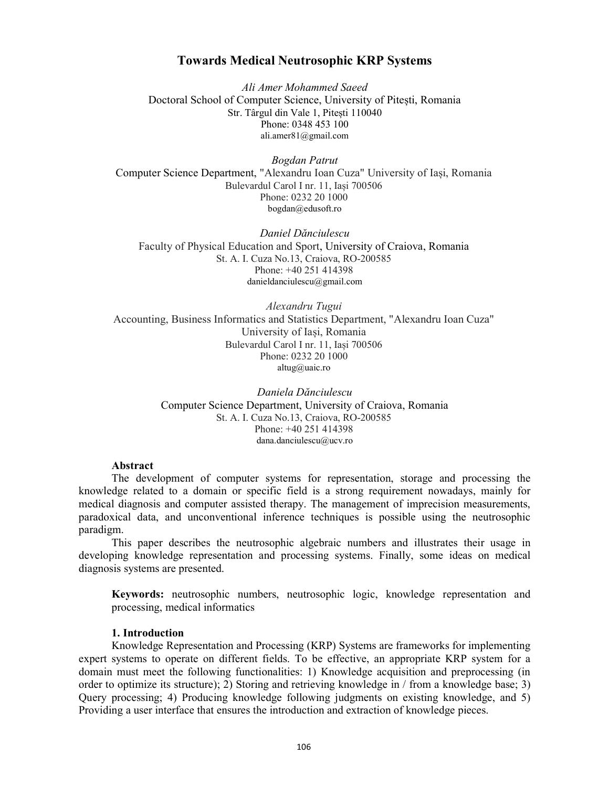# Towards Medical Neutrosophic KRP Systems

Ali Amer Mohammed Saeed Doctoral School of Computer Science, University of Pitești, Romania Str. Târgul din Vale 1, Pitești 110040 Phone: 0348 453 100 ali.amer81@gmail.com

Bogdan Patrut Computer Science Department, "Alexandru Ioan Cuza" University of Iași, Romania Bulevardul Carol I nr. 11, Iași 700506 Phone: 0232 20 1000 bogdan@edusoft.ro

Daniel Dănciulescu Faculty of Physical Education and Sport, University of Craiova, Romania St. A. I. Cuza No.13, Craiova, RO-200585 Phone: +40 251 414398 danieldanciulescu@gmail.com

Alexandru Tugui Accounting, Business Informatics and Statistics Department, "Alexandru Ioan Cuza" University of Iași, Romania Bulevardul Carol I nr. 11, Iași 700506 Phone: 0232 20 1000 altug@uaic.ro

> Daniela Dănciulescu Computer Science Department, University of Craiova, Romania St. A. I. Cuza No.13, Craiova, RO-200585 Phone: +40 251 414398 dana.danciulescu@ucv.ro

#### Abstract

The development of computer systems for representation, storage and processing the knowledge related to a domain or specific field is a strong requirement nowadays, mainly for medical diagnosis and computer assisted therapy. The management of imprecision measurements, paradoxical data, and unconventional inference techniques is possible using the neutrosophic paradigm.

This paper describes the neutrosophic algebraic numbers and illustrates their usage in developing knowledge representation and processing systems. Finally, some ideas on medical diagnosis systems are presented.

Keywords: neutrosophic numbers, neutrosophic logic, knowledge representation and processing, medical informatics

## 1. Introduction

Knowledge Representation and Processing (KRP) Systems are frameworks for implementing expert systems to operate on different fields. To be effective, an appropriate KRP system for a domain must meet the following functionalities: 1) Knowledge acquisition and preprocessing (in order to optimize its structure); 2) Storing and retrieving knowledge in / from a knowledge base; 3) Query processing; 4) Producing knowledge following judgments on existing knowledge, and 5) Providing a user interface that ensures the introduction and extraction of knowledge pieces.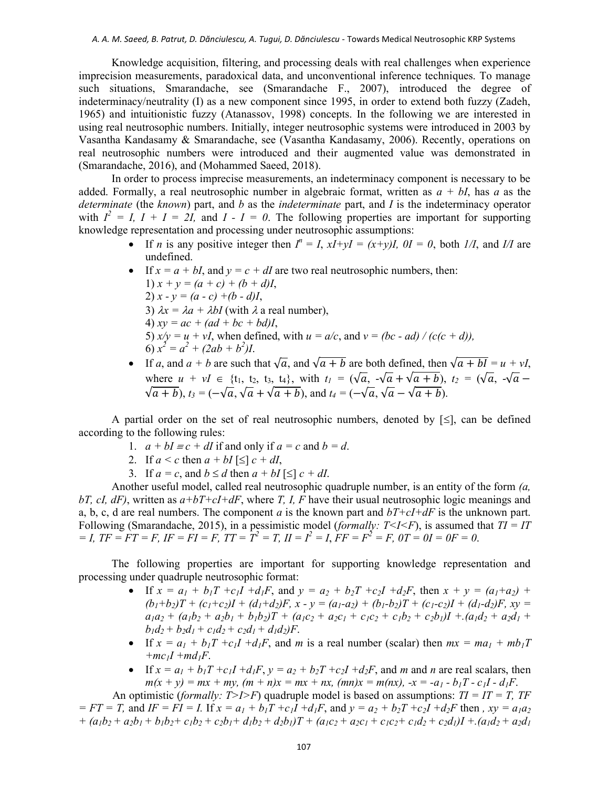Knowledge acquisition, filtering, and processing deals with real challenges when experience imprecision measurements, paradoxical data, and unconventional inference techniques. To manage such situations, Smarandache, see (Smarandache F., 2007), introduced the degree of indeterminacy/neutrality (I) as a new component since 1995, in order to extend both fuzzy (Zadeh, 1965) and intuitionistic fuzzy (Atanassov, 1998) concepts. In the following we are interested in using real neutrosophic numbers. Initially, integer neutrosophic systems were introduced in 2003 by Vasantha Kandasamy & Smarandache, see (Vasantha Kandasamy, 2006). Recently, operations on real neutrosophic numbers were introduced and their augmented value was demonstrated in (Smarandache, 2016), and (Mohammed Saeed, 2018).

In order to process imprecise measurements, an indeterminacy component is necessary to be added. Formally, a real neutrosophic number in algebraic format, written as  $a + bI$ , has a as the determinate (the known) part, and b as the *indeterminate* part, and I is the indeterminacy operator with  $I^2 = I$ ,  $I + I = 2I$ , and  $I - I = 0$ . The following properties are important for supporting knowledge representation and processing under neutrosophic assumptions:

- If *n* is any positive integer then  $I^n = I$ ,  $xI + yI = (x+y)I$ ,  $0I = 0$ , both  $1/I$ , and  $I/I$  are undefined.
- If  $x = a + bI$ , and  $y = c + dI$  are two real neutrosophic numbers, then: 1)  $x + y = (a + c) + (b + d)I$ , 2)  $x - y = (a - c) + (b - d)I$ , 3)  $\lambda x = \lambda a + \lambda bI$  (with  $\lambda$  a real number), 4)  $xy = ac + (ad + bc + bd)I$ , 5)  $x/y = u + vI$ , when defined, with  $u = a/c$ , and  $v = (bc - ad) / (c(c + d))$ , 6)  $x^2 = a^2 + (2ab + b^2)I$ .
- If a, and  $a + b$  are such that  $\sqrt{a}$ , and  $\sqrt{a + b}$  are both defined, then  $\sqrt{a + b} = u + vI$ , where  $u + vI \in \{t_1, t_2, t_3, t_4\}$ , with  $t_1 = (\sqrt{a}, -\sqrt{a} + \sqrt{a+b}), t_2 = (\sqrt{a}, -\sqrt{a} - \sqrt{a})$  $\sqrt{a+b}$ ),  $t_3 = (-\sqrt{a}, \sqrt{a} + \sqrt{a+b})$ , and  $t_4 = (-\sqrt{a}, \sqrt{a} - \sqrt{a+b})$ .

A partial order on the set of real neutrosophic numbers, denoted by  $\leq$ , can be defined according to the following rules:

- 1.  $a + bI \equiv c + dI$  if and only if  $a = c$  and  $b = d$ .
- 2. If  $a \leq c$  then  $a + bI \leq c + dI$ ,
- 3. If  $a = c$ , and  $b \le d$  then  $a + bI \le c + dI$ .

Another useful model, called real neutrosophic quadruple number, is an entity of the form  $(a, a)$ bT, cI, dF), written as  $a+bT+cI+dF$ , where T, I, F have their usual neutrosophic logic meanings and a, b, c, d are real numbers. The component a is the known part and  $bT+cI+dF$  is the unknown part. Following (Smarandache, 2015), in a pessimistic model (*formally: T<I<F*), is assumed that  $TI = IT$  $= I$ ,  $TF = FT = F$ ,  $IF = FI = F$ ,  $TT = T^2 = T$ ,  $II = I^2 = I$ ,  $FF = F^2 = F$ ,  $0T = 0I = 0F = 0$ .

The following properties are important for supporting knowledge representation and processing under quadruple neutrosophic format:

- If  $x = a_1 + b_1T + c_1I + d_1F$ , and  $y = a_2 + b_2T + c_2I + d_2F$ , then  $x + y = (a_1 + a_2) +$  $(b_1+b_2)T + (c_1+c_2)I + (d_1+d_2)F$ ,  $x - y = (a_1-a_2) + (b_1-b_2)T + (c_1-c_2)I + (d_1-d_2)F$ ,  $xy =$  $a_1a_2 + (a_1b_2 + a_2b_1 + b_1b_2)T + (a_1c_2 + a_2c_1 + c_1c_2 + c_1b_2 + c_2b_1)T + (a_1d_2 + a_2d_1 +$  $b_1d_2 + b_2d_1 + c_1d_2 + c_2d_1 + d_1d_2$ F.
- If  $x = a_1 + b_1T + c_1I + d_1F$ , and m is a real number (scalar) then  $mx = ma_1 + mb_1T$  $+mc_1I +md_1F$ .
- If  $x = a_1 + b_1T + c_1I + d_1F$ ,  $y = a_2 + b_2T + c_2I + d_2F$ , and m and n are real scalars, then  $m(x + y) = mx + my$ ,  $(m + n)x = mx + nx$ ,  $(mn)x = m(nx)$ ,  $-x = -a_1 - b_1T - c_1I - d_1F$ .

An optimistic (formally:  $T>I>F$ ) quadruple model is based on assumptions:  $TI = IT = T$ ,  $TF$  $= FT = T$ , and  $IF = FI = I$ . If  $x = a_1 + b_1T + c_1I + d_1F$ , and  $y = a_2 + b_2T + c_2I + d_2F$  then ,  $xy = a_1a_2$ +  $(a_1b_2 + a_2b_1 + b_1b_2 + c_1b_2 + c_2b_1 + d_1b_2 + d_2b_1)T + (a_1c_2 + a_2c_1 + c_1c_2 + c_1d_2 + c_2d_1)T + (a_1d_2 + a_2d_1)T$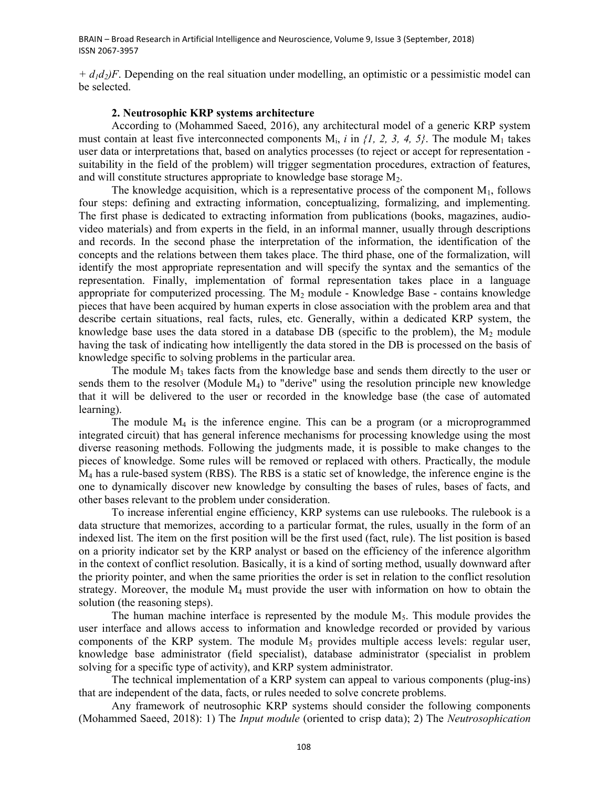BRAIN – Broad Research in Artificial Intelligence and Neuroscience, Volume 9, Issue 3 (September, 2018) ISSN 2067-3957

 $+ d_1 d_2$ )F. Depending on the real situation under modelling, an optimistic or a pessimistic model can be selected.

## 2. Neutrosophic KRP systems architecture

According to (Mohammed Saeed, 2016), any architectural model of a generic KRP system must contain at least five interconnected components  $M_i$ , i in  $\{1, 2, 3, 4, 5\}$ . The module  $M_1$  takes user data or interpretations that, based on analytics processes (to reject or accept for representation suitability in the field of the problem) will trigger segmentation procedures, extraction of features, and will constitute structures appropriate to knowledge base storage  $M_2$ .

The knowledge acquisition, which is a representative process of the component  $M_1$ , follows four steps: defining and extracting information, conceptualizing, formalizing, and implementing. The first phase is dedicated to extracting information from publications (books, magazines, audiovideo materials) and from experts in the field, in an informal manner, usually through descriptions and records. In the second phase the interpretation of the information, the identification of the concepts and the relations between them takes place. The third phase, one of the formalization, will identify the most appropriate representation and will specify the syntax and the semantics of the representation. Finally, implementation of formal representation takes place in a language appropriate for computerized processing. The  $M_2$  module - Knowledge Base - contains knowledge pieces that have been acquired by human experts in close association with the problem area and that describe certain situations, real facts, rules, etc. Generally, within a dedicated KRP system, the knowledge base uses the data stored in a database DB (specific to the problem), the  $M_2$  module having the task of indicating how intelligently the data stored in the DB is processed on the basis of knowledge specific to solving problems in the particular area.

The module  $M_3$  takes facts from the knowledge base and sends them directly to the user or sends them to the resolver (Module  $M_4$ ) to "derive" using the resolution principle new knowledge that it will be delivered to the user or recorded in the knowledge base (the case of automated learning).

The module  $M_4$  is the inference engine. This can be a program (or a microprogrammed integrated circuit) that has general inference mechanisms for processing knowledge using the most diverse reasoning methods. Following the judgments made, it is possible to make changes to the pieces of knowledge. Some rules will be removed or replaced with others. Practically, the module  $M<sub>4</sub>$  has a rule-based system (RBS). The RBS is a static set of knowledge, the inference engine is the one to dynamically discover new knowledge by consulting the bases of rules, bases of facts, and other bases relevant to the problem under consideration.

To increase inferential engine efficiency, KRP systems can use rulebooks. The rulebook is a data structure that memorizes, according to a particular format, the rules, usually in the form of an indexed list. The item on the first position will be the first used (fact, rule). The list position is based on a priority indicator set by the KRP analyst or based on the efficiency of the inference algorithm in the context of conflict resolution. Basically, it is a kind of sorting method, usually downward after the priority pointer, and when the same priorities the order is set in relation to the conflict resolution strategy. Moreover, the module  $M_4$  must provide the user with information on how to obtain the solution (the reasoning steps).

The human machine interface is represented by the module  $M<sub>5</sub>$ . This module provides the user interface and allows access to information and knowledge recorded or provided by various components of the KRP system. The module  $M_5$  provides multiple access levels: regular user, knowledge base administrator (field specialist), database administrator (specialist in problem solving for a specific type of activity), and KRP system administrator.

The technical implementation of a KRP system can appeal to various components (plug-ins) that are independent of the data, facts, or rules needed to solve concrete problems.

Any framework of neutrosophic KRP systems should consider the following components (Mohammed Saeed, 2018): 1) The *Input module* (oriented to crisp data); 2) The *Neutrosophication*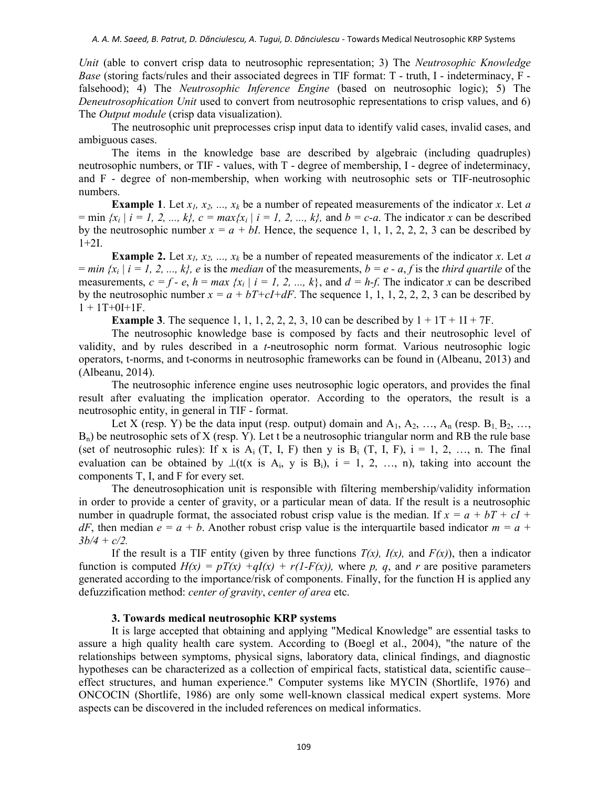Unit (able to convert crisp data to neutrosophic representation; 3) The Neutrosophic Knowledge Base (storing facts/rules and their associated degrees in TIF format: T - truth, I - indeterminacy, F falsehood); 4) The Neutrosophic Inference Engine (based on neutrosophic logic); 5) The Deneutrosophication Unit used to convert from neutrosophic representations to crisp values, and 6) The *Output module* (crisp data visualization).

The neutrosophic unit preprocesses crisp input data to identify valid cases, invalid cases, and ambiguous cases.

The items in the knowledge base are described by algebraic (including quadruples) neutrosophic numbers, or TIF - values, with T - degree of membership, I - degree of indeterminacy, and F - degree of non-membership, when working with neutrosophic sets or TIF-neutrosophic numbers.

**Example 1.** Let  $x_1, x_2, ..., x_k$  be a number of repeated measurements of the indicator x. Let a = min  $\{x_i \mid i = 1, 2, ..., k\}$ ,  $c = \max\{x_i \mid i = 1, 2, ..., k\}$ , and  $b = c-a$ . The indicator x can be described by the neutrosophic number  $x = a + bI$ . Hence, the sequence 1, 1, 1, 2, 2, 2, 3 can be described by 1+2I.

**Example 2.** Let  $x_1, x_2, ..., x_k$  be a number of repeated measurements of the indicator x. Let a  $= min \{x_i | i = 1, 2, ..., k\}$ , e is the median of the measurements,  $b = e - a$ , f is the third quartile of the measurements,  $c = f - e$ ,  $h = max \{x_i | i = 1, 2, ..., k\}$ , and  $d = h-f$ . The indicator x can be described by the neutrosophic number  $x = a + bT+cI+dF$ . The sequence 1, 1, 1, 2, 2, 2, 3 can be described by  $1 + 1T + 0I + 1F$ .

**Example 3.** The sequence 1, 1, 1, 2, 2, 2, 3, 10 can be described by  $1 + 1T + 1I + 7F$ .

The neutrosophic knowledge base is composed by facts and their neutrosophic level of validity, and by rules described in a t-neutrosophic norm format. Various neutrosophic logic operators, t-norms, and t-conorms in neutrosophic frameworks can be found in (Albeanu, 2013) and (Albeanu, 2014).

The neutrosophic inference engine uses neutrosophic logic operators, and provides the final result after evaluating the implication operator. According to the operators, the result is a neutrosophic entity, in general in TIF - format.

Let X (resp. Y) be the data input (resp. output) domain and  $A_1, A_2, ..., A_n$  (resp.  $B_1, B_2, ...,$  $B_n$ ) be neutrosophic sets of X (resp. Y). Let t be a neutrosophic triangular norm and RB the rule base (set of neutrosophic rules): If x is  $A_i$  (T, I, F) then y is  $B_i$  (T, I, F),  $i = 1, 2, ..., n$ . The final evaluation can be obtained by  $\perp(t(x \text{ is } A_i, y \text{ is } B_i), i = 1, 2, ..., n)$ , taking into account the components T, I, and F for every set.

The deneutrosophication unit is responsible with filtering membership/validity information in order to provide a center of gravity, or a particular mean of data. If the result is a neutrosophic number in quadruple format, the associated robust crisp value is the median. If  $x = a + bT + cI$  $dF$ , then median  $e = a + b$ . Another robust crisp value is the interquartile based indicator  $m = a + b$ .  $3b/4 + c/2$ .

If the result is a TIF entity (given by three functions  $T(x)$ ,  $I(x)$ , and  $F(x)$ ), then a indicator function is computed  $H(x) = pT(x) + qI(x) + r(1-F(x))$ , where p, q, and r are positive parameters generated according to the importance/risk of components. Finally, for the function H is applied any defuzzification method: *center of gravity*, *center of area* etc.

#### 3. Towards medical neutrosophic KRP systems

It is large accepted that obtaining and applying "Medical Knowledge" are essential tasks to assure a high quality health care system. According to (Boegl et al., 2004), "the nature of the relationships between symptoms, physical signs, laboratory data, clinical findings, and diagnostic hypotheses can be characterized as a collection of empirical facts, statistical data, scientific cause– effect structures, and human experience." Computer systems like MYCIN (Shortlife, 1976) and ONCOCIN (Shortlife, 1986) are only some well-known classical medical expert systems. More aspects can be discovered in the included references on medical informatics.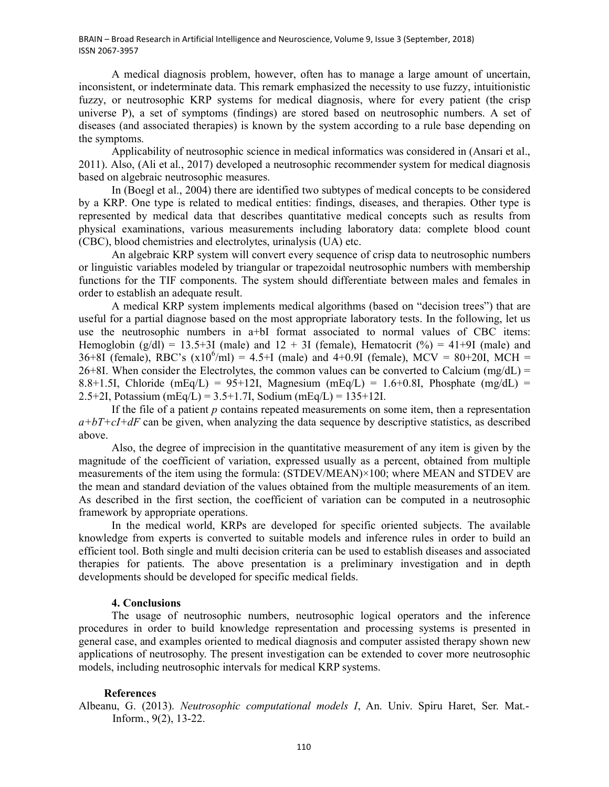BRAIN – Broad Research in Artificial Intelligence and Neuroscience, Volume 9, Issue 3 (September, 2018) ISSN 2067-3957

A medical diagnosis problem, however, often has to manage a large amount of uncertain, inconsistent, or indeterminate data. This remark emphasized the necessity to use fuzzy, intuitionistic fuzzy, or neutrosophic KRP systems for medical diagnosis, where for every patient (the crisp universe P), a set of symptoms (findings) are stored based on neutrosophic numbers. A set of diseases (and associated therapies) is known by the system according to a rule base depending on the symptoms.

Applicability of neutrosophic science in medical informatics was considered in (Ansari et al., 2011). Also, (Ali et al., 2017) developed a neutrosophic recommender system for medical diagnosis based on algebraic neutrosophic measures.

In (Boegl et al., 2004) there are identified two subtypes of medical concepts to be considered by a KRP. One type is related to medical entities: findings, diseases, and therapies. Other type is represented by medical data that describes quantitative medical concepts such as results from physical examinations, various measurements including laboratory data: complete blood count (CBC), blood chemistries and electrolytes, urinalysis (UA) etc.

An algebraic KRP system will convert every sequence of crisp data to neutrosophic numbers or linguistic variables modeled by triangular or trapezoidal neutrosophic numbers with membership functions for the TIF components. The system should differentiate between males and females in order to establish an adequate result.

A medical KRP system implements medical algorithms (based on "decision trees") that are useful for a partial diagnose based on the most appropriate laboratory tests. In the following, let us use the neutrosophic numbers in a+bI format associated to normal values of CBC items: Hemoglobin (g/dl) = 13.5+3I (male) and  $12 + 3I$  (female), Hematocrit (%) = 41+9I (male) and 36+8I (female), RBC's  $(x10^6/ml) = 4.5+I$  (male) and 4+0.9I (female), MCV = 80+20I, MCH =  $26+8I$ . When consider the Electrolytes, the common values can be converted to Calcium (mg/dL) = 8.8+1.5I, Chloride (mEq/L) = 95+12I, Magnesium (mEq/L) = 1.6+0.8I, Phosphate (mg/dL) = 2.5+2I, Potassium (mEq/L) =  $3.5+1.7$ I, Sodium (mEq/L) =  $135+12$ I.

If the file of a patient  $p$  contains repeated measurements on some item, then a representation  $a+bT+cI+dF$  can be given, when analyzing the data sequence by descriptive statistics, as described above.

Also, the degree of imprecision in the quantitative measurement of any item is given by the magnitude of the coefficient of variation, expressed usually as a percent, obtained from multiple measurements of the item using the formula: (STDEV/MEAN)×100; where MEAN and STDEV are the mean and standard deviation of the values obtained from the multiple measurements of an item. As described in the first section, the coefficient of variation can be computed in a neutrosophic framework by appropriate operations.

In the medical world, KRPs are developed for specific oriented subjects. The available knowledge from experts is converted to suitable models and inference rules in order to build an efficient tool. Both single and multi decision criteria can be used to establish diseases and associated therapies for patients. The above presentation is a preliminary investigation and in depth developments should be developed for specific medical fields.

## 4. Conclusions

The usage of neutrosophic numbers, neutrosophic logical operators and the inference procedures in order to build knowledge representation and processing systems is presented in general case, and examples oriented to medical diagnosis and computer assisted therapy shown new applications of neutrosophy. The present investigation can be extended to cover more neutrosophic models, including neutrosophic intervals for medical KRP systems.

### References

Albeanu, G. (2013). Neutrosophic computational models I, An. Univ. Spiru Haret, Ser. Mat.- Inform., 9(2), 13-22.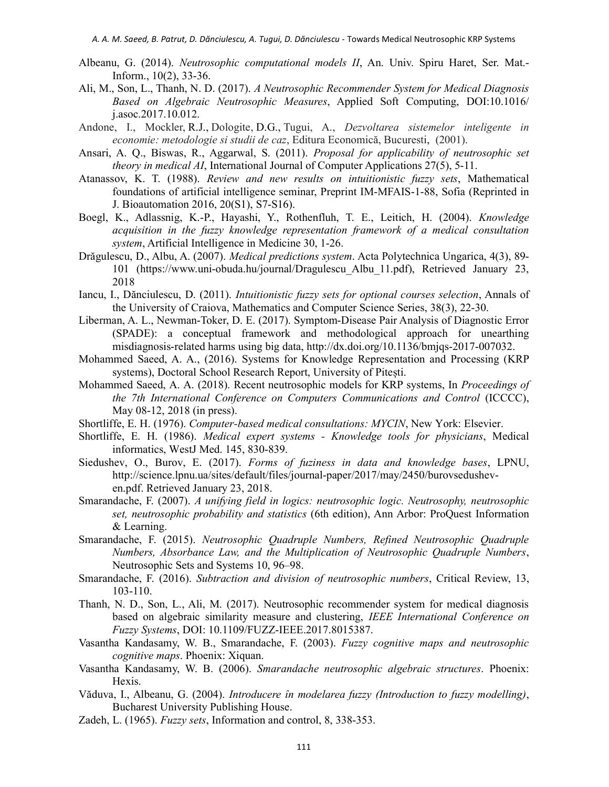- Albeanu, G. (2014). Neutrosophic computational models II, An. Univ. Spiru Haret, Ser. Mat.- Inform., 10(2), 33-36.
- Ali, M., Son, L., Thanh, N. D. (2017). A Neutrosophic Recommender System for Medical Diagnosis Based on Algebraic Neutrosophic Measures, Applied Soft Computing, DOI:10.1016/ j.asoc.2017.10.012.
- Andone, I., Mockler, R.J., Dologite, D.G., Tugui, A., Dezvoltarea sistemelor inteligente in economie: metodologie si studii de caz, Editura Economică, Bucuresti, (2001).
- Ansari, A. Q., Biswas, R., Aggarwal, S. (2011). Proposal for applicability of neutrosophic set theory in medical AI, International Journal of Computer Applications 27(5), 5-11.
- Atanassov, K. T. (1988). Review and new results on intuitionistic fuzzy sets, Mathematical foundations of artificial intelligence seminar, Preprint IM-MFAIS-1-88, Sofia (Reprinted in J. Bioautomation 2016, 20(S1), S7-S16).
- Boegl, K., Adlassnig, K.-P., Hayashi, Y., Rothenfluh, T. E., Leitich, H. (2004). Knowledge acquisition in the fuzzy knowledge representation framework of a medical consultation system, Artificial Intelligence in Medicine 30, 1-26.
- Drăgulescu, D., Albu, A. (2007). Medical predictions system. Acta Polytechnica Ungarica, 4(3), 89- 101 (https://www.uni-obuda.hu/journal/Dragulescu\_Albu\_11.pdf), Retrieved January 23, 2018
- Iancu, I., Dănciulescu, D. (2011). Intuitionistic fuzzy sets for optional courses selection, Annals of the University of Craiova, Mathematics and Computer Science Series, 38(3), 22-30.
- Liberman, A. L., Newman-Toker, D. E. (2017). Symptom-Disease Pair Analysis of Diagnostic Error (SPADE): a conceptual framework and methodological approach for unearthing misdiagnosis-related harms using big data, http://dx.doi.org/10.1136/bmjqs-2017-007032.
- Mohammed Saeed, A. A., (2016). Systems for Knowledge Representation and Processing (KRP systems), Doctoral School Research Report, University of Pitești.
- Mohammed Saeed, A. A. (2018). Recent neutrosophic models for KRP systems, In Proceedings of the 7th International Conference on Computers Communications and Control (ICCCC), May 08-12, 2018 (in press).
- Shortliffe, E. H. (1976). Computer-based medical consultations: MYCIN, New York: Elsevier.
- Shortliffe, E. H. (1986). Medical expert systems Knowledge tools for physicians, Medical informatics, WestJ Med. 145, 830-839.
- Siedushev, O., Burov, E. (2017). Forms of fuziness in data and knowledge bases, LPNU, http://science.lpnu.ua/sites/default/files/journal-paper/2017/may/2450/burovsedusheven.pdf. Retrieved January 23, 2018.
- Smarandache, F. (2007). A unifying field in logics: neutrosophic logic. Neutrosophy, neutrosophic set, neutrosophic probability and statistics (6th edition), Ann Arbor: ProQuest Information & Learning.
- Smarandache, F. (2015). Neutrosophic Quadruple Numbers, Refined Neutrosophic Quadruple Numbers, Absorbance Law, and the Multiplication of Neutrosophic Quadruple Numbers, Neutrosophic Sets and Systems 10, 96–98.
- Smarandache, F. (2016). Subtraction and division of neutrosophic numbers, Critical Review, 13, 103-110.
- Thanh, N. D., Son, L., Ali, M. (2017). Neutrosophic recommender system for medical diagnosis based on algebraic similarity measure and clustering, IEEE International Conference on Fuzzy Systems, DOI: 10.1109/FUZZ-IEEE.2017.8015387.
- Vasantha Kandasamy, W. B., Smarandache, F. (2003). Fuzzy cognitive maps and neutrosophic cognitive maps. Phoenix: Xiquan.
- Vasantha Kandasamy, W. B. (2006). Smarandache neutrosophic algebraic structures. Phoenix: Hexis.
- Văduva, I., Albeanu, G. (2004). Introducere în modelarea fuzzy (Introduction to fuzzy modelling), Bucharest University Publishing House.
- Zadeh, L. (1965). Fuzzy sets, Information and control, 8, 338-353.